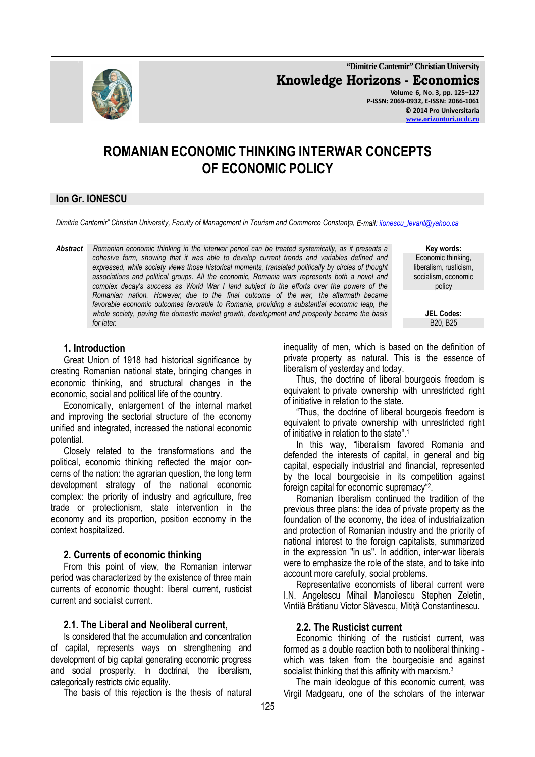**"Dimitrie Cantemir" Christian University Knowledge Horizons - Economics Volume 6, No. 3, pp. 125–127 P-ISSN: 2069-0932, E-ISSN: 2066-1061 © 2014 Pro Universitaria** 

#### **www.orizonturi.ucdc.ro**

# **ROMANIAN ECONOMIC THINKING INTERWAR CONCEPTS OF ECONOMIC POLICY**

### **Ion Gr. IONESCU**

*Dimitrie Cantemir" Christian University, Faculty of Management in Tourism and Commerce Constanţa, E-mail: iionescu\_levant@yahoo.ca*

*Abstract Romanian economic thinking in the interwar period can be treated systemically, as it presents a cohesive form, showing that it was able to develop current trends and variables defined and expressed, while society views those historical moments, translated politically by circles of thought associations and political groups. All the economic, Romania wars represents both a novel and complex decay's success as World War I land subject to the efforts over the powers of the Romanian nation. However, due to the final outcome of the war, the aftermath became favorable economic outcomes favorable to Romania, providing a substantial economic leap, the whole society, paving the domestic market growth, development and prosperity became the basis for later.* B20, B25

**Key words:**  Economic thinking, liberalism, rusticism, socialism, economic policy

**JEL Codes:**

### **1. Introduction**

Great Union of 1918 had historical significance by creating Romanian national state, bringing changes in economic thinking, and structural changes in the economic, social and political life of the country.

Economically, enlargement of the internal market and improving the sectorial structure of the economy unified and integrated, increased the national economic potential.

Closely related to the transformations and the political, economic thinking reflected the major concerns of the nation: the agrarian question, the long term development strategy of the national economic complex: the priority of industry and agriculture, free trade or protectionism, state intervention in the economy and its proportion, position economy in the context hospitalized.

### **2. Currents of economic thinking**

From this point of view, the Romanian interwar period was characterized by the existence of three main currents of economic thought: liberal current, rusticist current and socialist current.

### **2.1. The Liberal and Neoliberal current**,

Is considered that the accumulation and concentration of capital, represents ways on strengthening and development of big capital generating economic progress and social prosperity. In doctrinal, the liberalism, categorically restricts civic equality.

The basis of this rejection is the thesis of natural

inequality of men, which is based on the definition of private property as natural. This is the essence of liberalism of yesterday and today.

Thus, the doctrine of liberal bourgeois freedom is equivalent to private ownership with unrestricted right of initiative in relation to the state.

"Thus, the doctrine of liberal bourgeois freedom is equivalent to private ownership with unrestricted right of initiative in relation to the state".<sup>1</sup>

In this way, "liberalism favored Romania and defended the interests of capital, in general and big capital, especially industrial and financial, represented by the local bourgeoisie in its competition against foreign capital for economic supremacy"<sup>2</sup> .

Romanian liberalism continued the tradition of the previous three plans: the idea of private property as the foundation of the economy, the idea of industrialization and protection of Romanian industry and the priority of national interest to the foreign capitalists, summarized in the expression "in us". In addition, inter-war liberals were to emphasize the role of the state, and to take into account more carefully, social problems.

Representative economists of liberal current were I.N. Angelescu Mihail Manoilescu Stephen Zeletin, Vintilă Brătianu Victor Slăvescu, Mitiţă Constantinescu.

### **2.2. The Rusticist current**

Economic thinking of the rusticist current, was formed as a double reaction both to neoliberal thinking which was taken from the bourgeoisie and against socialist thinking that this affinity with marxism.<sup>3</sup>

The main ideologue of this economic current, was Virgil Madgearu, one of the scholars of the interwar

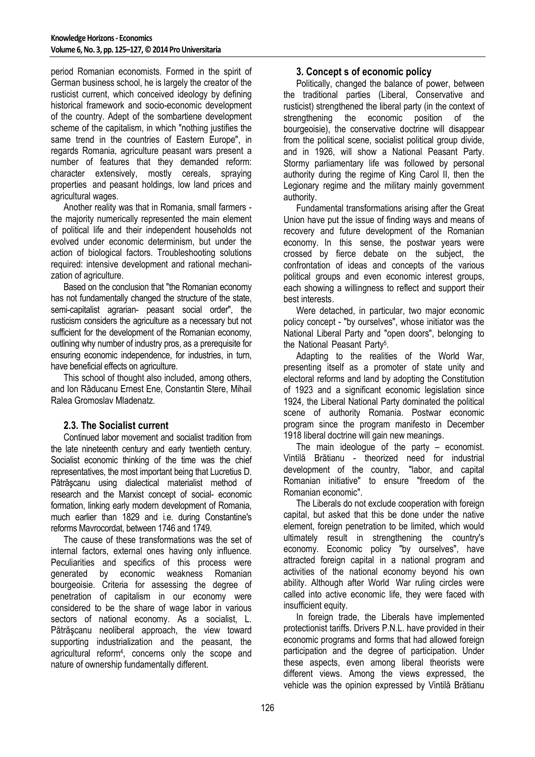period Romanian economists. Formed in the spirit of German business school, he is largely the creator of the rusticist current, which conceived ideology by defining historical framework and socio-economic development of the country. Adept of the sombartiene development scheme of the capitalism, in which "nothing justifies the same trend in the countries of Eastern Europe", in regards Romania, agriculture peasant wars present a number of features that they demanded reform: character extensively, mostly cereals, spraying properties and peasant holdings, low land prices and agricultural wages.

Another reality was that in Romania, small farmers the majority numerically represented the main element of political life and their independent households not evolved under economic determinism, but under the action of biological factors. Troubleshooting solutions required: intensive development and rational mechanization of agriculture.

Based on the conclusion that "the Romanian economy has not fundamentally changed the structure of the state, semi-capitalist agrarian- peasant social order", the rusticism considers the agriculture as a necessary but not sufficient for the development of the Romanian economy, outlining why number of industry pros, as a prerequisite for ensuring economic independence, for industries, in turn, have beneficial effects on agriculture.

This school of thought also included, among others, and Ion Răducanu Ernest Ene, Constantin Stere, Mihail Ralea Gromoslav Mladenatz.

# **2.3. The Socialist current**

Continued labor movement and socialist tradition from the late nineteenth century and early twentieth century. Socialist economic thinking of the time was the chief representatives, the most important being that Lucretius D. Pătrăşcanu using dialectical materialist method of research and the Marxist concept of social- economic formation, linking early modern development of Romania, much earlier than 1829 and i.e. during Constantine's reforms Mavrocordat, between 1746 and 1749.

The cause of these transformations was the set of internal factors, external ones having only influence. Peculiarities and specifics of this process were generated by economic weakness Romanian bourgeoisie. Criteria for assessing the degree of penetration of capitalism in our economy were considered to be the share of wage labor in various sectors of national economy. As a socialist, L. Pătrăşcanu neoliberal approach, the view toward supporting industrialization and the peasant, the agricultural reform<sup>4</sup> , concerns only the scope and nature of ownership fundamentally different.

# **3. Concept s of economic policy**

Politically, changed the balance of power, between the traditional parties (Liberal, Conservative and rusticist) strengthened the liberal party (in the context of strengthening the economic position of the bourgeoisie), the conservative doctrine will disappear from the political scene, socialist political group divide, and in 1926, will show a National Peasant Party. Stormy parliamentary life was followed by personal authority during the regime of King Carol II, then the Legionary regime and the military mainly government authority.

Fundamental transformations arising after the Great Union have put the issue of finding ways and means of recovery and future development of the Romanian economy. In this sense, the postwar years were crossed by fierce debate on the subject, the confrontation of ideas and concepts of the various political groups and even economic interest groups, each showing a willingness to reflect and support their best interests.

Were detached, in particular, two major economic policy concept - "by ourselves", whose initiator was the National Liberal Party and "open doors", belonging to the National Peasant Party<sup>5</sup>.

Adapting to the realities of the World War, presenting itself as a promoter of state unity and electoral reforms and land by adopting the Constitution of 1923 and a significant economic legislation since 1924, the Liberal National Party dominated the political scene of authority Romania. Postwar economic program since the program manifesto in December 1918 liberal doctrine will gain new meanings.

The main ideologue of the party – economist. Vintilă Brătianu - theorized need for industrial development of the country, "labor, and capital Romanian initiative" to ensure "freedom of the Romanian economic".

The Liberals do not exclude cooperation with foreign capital, but asked that this be done under the native element, foreign penetration to be limited, which would ultimately result in strengthening the country's economy. Economic policy "by ourselves", have attracted foreign capital in a national program and activities of the national economy beyond his own ability. Although after World War ruling circles were called into active economic life, they were faced with insufficient equity.

In foreign trade, the Liberals have implemented protectionist tariffs. Drivers P.N.L. have provided in their economic programs and forms that had allowed foreign participation and the degree of participation. Under these aspects, even among liberal theorists were different views. Among the views expressed, the vehicle was the opinion expressed by Vintilă Brătianu